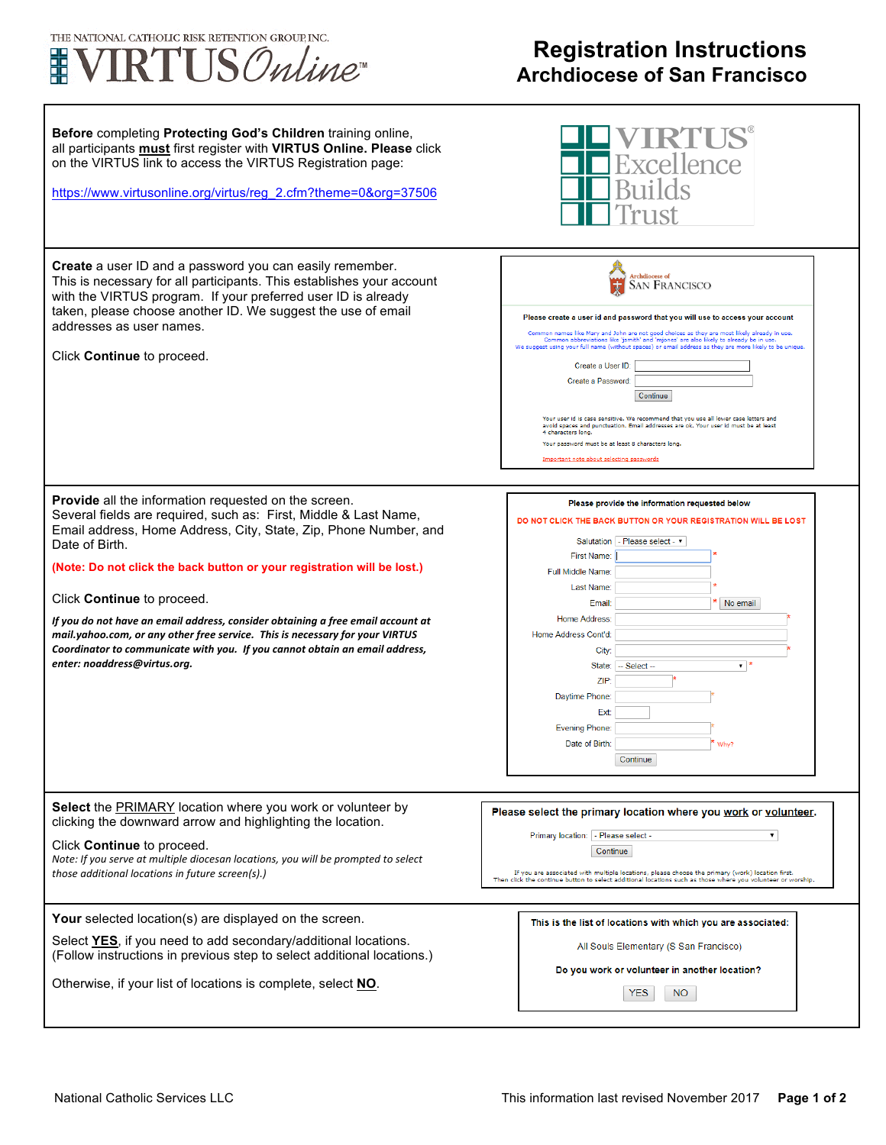

## **Registration Instructions Archdiocese of San Francisco**

٦

| Before completing Protecting God's Children training online,<br>all participants must first register with VIRTUS Online. Please click<br>on the VIRTUS link to access the VIRTUS Registration page:<br>https://www.virtusonline.org/virtus/reg_2.cfm?theme=0&org=37506                                                                                                                                                                                                                                                                                                                                    | tellence                                                                                                                                                                                                                                                                                                                                                                                                                                                                                                                                                                                                                                                                                                                                                                                |
|-----------------------------------------------------------------------------------------------------------------------------------------------------------------------------------------------------------------------------------------------------------------------------------------------------------------------------------------------------------------------------------------------------------------------------------------------------------------------------------------------------------------------------------------------------------------------------------------------------------|-----------------------------------------------------------------------------------------------------------------------------------------------------------------------------------------------------------------------------------------------------------------------------------------------------------------------------------------------------------------------------------------------------------------------------------------------------------------------------------------------------------------------------------------------------------------------------------------------------------------------------------------------------------------------------------------------------------------------------------------------------------------------------------------|
| Create a user ID and a password you can easily remember.<br>This is necessary for all participants. This establishes your account<br>with the VIRTUS program. If your preferred user ID is already<br>taken, please choose another ID. We suggest the use of email<br>addresses as user names.<br>Click Continue to proceed.                                                                                                                                                                                                                                                                              | Archdiocese of<br><b>SAN FRANCISCO</b><br>Please create a user id and password that you will use to access your account<br>Common names like Mary and John are not good choices as they are most likely already in use.<br>Common abbreviations like 'jsmith' and 'mjones' are also likely to already be in use.<br>We suggest using your full name (without spaces) or email address as they are more likely to be unique<br>Create a User ID:<br>Create a Password:<br>Continue<br>Your user id is case sensitive. We recommend that you use all lower case letters and<br>avoid spaces and punctuation. Email addresses are ok. Your user id must be at least<br>4 characters long.<br>Your password must be at least 8 characters long.<br>Important note about selecting passwords |
| Provide all the information requested on the screen.<br>Several fields are required, such as: First, Middle & Last Name,<br>Email address, Home Address, City, State, Zip, Phone Number, and<br>Date of Birth.<br>(Note: Do not click the back button or your registration will be lost.)<br>Click Continue to proceed.<br>If you do not have an email address, consider obtaining a free email account at<br>mail.yahoo.com, or any other free service. This is necessary for your VIRTUS<br>Coordinator to communicate with you. If you cannot obtain an email address,<br>enter: noaddress@virtus.org. | Please provide the information requested below<br>DO NOT CLICK THE BACK BUTTON OR YOUR REGISTRATION WILL BE LOST<br>Salutation   - Please select - v<br>First Name:<br>Full Middle Name:<br>Last Name:<br>No email<br>Email:<br>Home Address:<br>Home Address Cont'd:<br>City:<br>▾◝<br>State: - Select -<br>ZIP:<br>Daytime Phone:<br>Ext:<br><b>Evening Phone:</b><br>Date of Birth:<br>Why?<br>Continue                                                                                                                                                                                                                                                                                                                                                                              |
| Select the PRIMARY location where you work or volunteer by<br>clicking the downward arrow and highlighting the location.<br>Click Continue to proceed.<br>Note: If you serve at multiple diocesan locations, you will be prompted to select<br>those additional locations in future screen(s).)                                                                                                                                                                                                                                                                                                           | Please select the primary location where you work or volunteer.<br>Primary location: - Please select -<br>▼<br>Continue<br>If you are associated with multiple locations, please choose the primary (work) location first.<br>Then click the continue button to select additional locations such as those where you volunteer or worship.                                                                                                                                                                                                                                                                                                                                                                                                                                               |
| Your selected location(s) are displayed on the screen.<br>Select YES, if you need to add secondary/additional locations.<br>(Follow instructions in previous step to select additional locations.)<br>Otherwise, if your list of locations is complete, select NO.                                                                                                                                                                                                                                                                                                                                        | This is the list of locations with which you are associated:<br>All Souls Elementary (S San Francisco)<br>Do you work or volunteer in another location?<br><b>YES</b><br>NO.                                                                                                                                                                                                                                                                                                                                                                                                                                                                                                                                                                                                            |